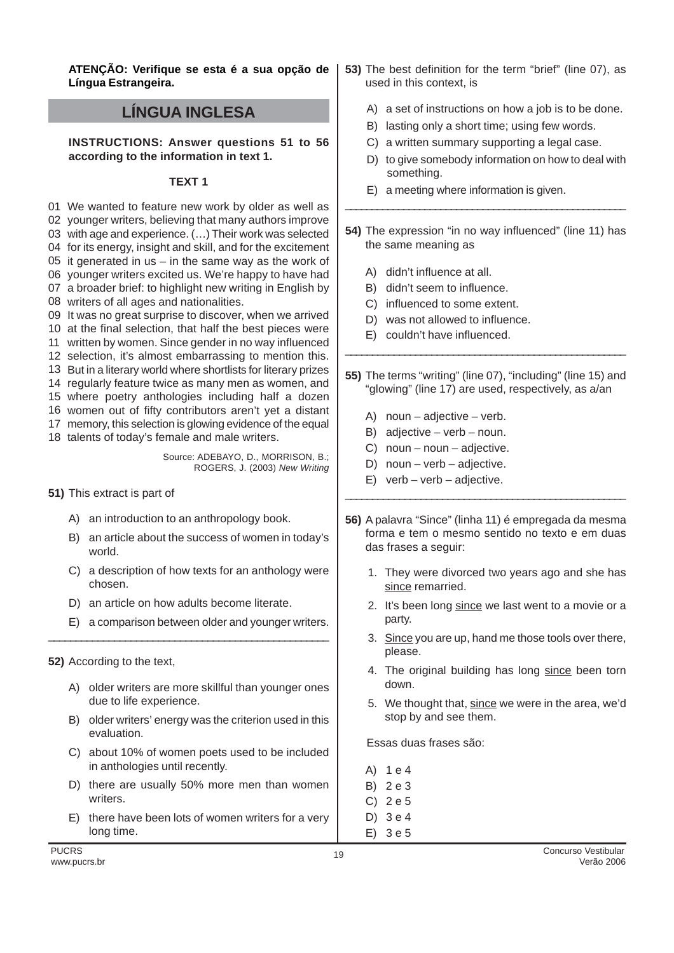**ATENÇÃO: Verifique se esta é a sua opção de Língua Estrangeira.**

# **LÍNGUA INGLESA**

**INSTRUCTIONS: Answer questions 51 to 56 according to the information in text 1.**

### **TEXT 1**

 We wanted to feature new work by older as well as younger writers, believing that many authors improve with age and experience. (…) Their work was selected for its energy, insight and skill, and for the excitement it generated in us – in the same way as the work of younger writers excited us. We're happy to have had a broader brief: to highlight new writing in English by writers of all ages and nationalities. It was no great surprise to discover, when we arrived at the final selection, that half the best pieces were written by women. Since gender in no way influenced selection, it's almost embarrassing to mention this. But in a literary world where shortlists for literary prizes regularly feature twice as many men as women, and where poetry anthologies including half a dozen women out of fifty contributors aren't yet a distant memory, this selection is glowing evidence of the equal talents of today's female and male writers.

Source: ADEBAYO, D., MORRISON, B.; ROGERS, J. (2003) New Writing

- **51)** This extract is part of
	- A) an introduction to an anthropology book.
	- B) an article about the success of women in today's world.
	- C) a description of how texts for an anthology were chosen.
	- D) an article on how adults become literate.

\_\_\_\_\_\_\_\_\_\_\_\_\_\_\_\_\_\_\_\_\_\_\_\_\_\_\_\_\_\_\_\_\_\_\_\_\_\_\_\_\_\_\_\_\_\_\_\_\_\_\_

- E) a comparison between older and younger writers.
- **52)** According to the text,
	- A) older writers are more skillful than younger ones due to life experience.
	- B) older writers' energy was the criterion used in this evaluation.
	- C) about 10% of women poets used to be included in anthologies until recently.
	- D) there are usually 50% more men than women writers.
	- E) there have been lots of women writers for a very long time.
- **53)** The best definition for the term "brief" (line 07), as used in this context, is
	- A) a set of instructions on how a job is to be done.
	- B) lasting only a short time; using few words.
	- C) a written summary supporting a legal case.
	- D) to give somebody information on how to deal with something.
	- E) a meeting where information is given.
- **54)** The expression "in no way influenced" (line 11) has the same meaning as

\_\_\_\_\_\_\_\_\_\_\_\_\_\_\_\_\_\_\_\_\_\_\_\_\_\_\_\_\_\_\_\_\_\_\_\_\_\_\_\_\_\_\_\_\_\_\_\_\_\_\_\_\_

- A) didn't influence at all.
- B) didn't seem to influence.
- C) influenced to some extent.
- D) was not allowed to influence.
- E) couldn't have influenced.
- **55)** The terms "writing" (line 07), "including" (line 15) and "glowing" (line 17) are used, respectively, as a/an

\_\_\_\_\_\_\_\_\_\_\_\_\_\_\_\_\_\_\_\_\_\_\_\_\_\_\_\_\_\_\_\_\_\_\_\_\_\_\_\_\_\_\_\_\_\_\_\_\_\_\_\_

- A) noun adjective verb.
- B) adjective verb noun.
- C) noun noun adjective.
- D) noun verb adjective.
- E) verb verb adjective.
- **56)** A palavra "Since" (linha 11) é empregada da mesma forma e tem o mesmo sentido no texto e em duas das frases a seguir:

\_\_\_\_\_\_\_\_\_\_\_\_\_\_\_\_\_\_\_\_\_\_\_\_\_\_\_\_\_\_\_\_\_\_\_\_\_\_\_\_\_\_\_\_\_\_\_\_\_\_\_\_

- 1. They were divorced two years ago and she has since remarried.
- 2. It's been long since we last went to a movie or a party.
- 3. Since you are up, hand me those tools over there, please.
- 4. The original building has long since been torn down.
- 5. We thought that, since we were in the area, we'd stop by and see them.

Essas duas frases são:

- A) 1 e 4
- B) 2 e 3
- C) 2 e 5
- D) 3 e 4
- E) 3 e 5